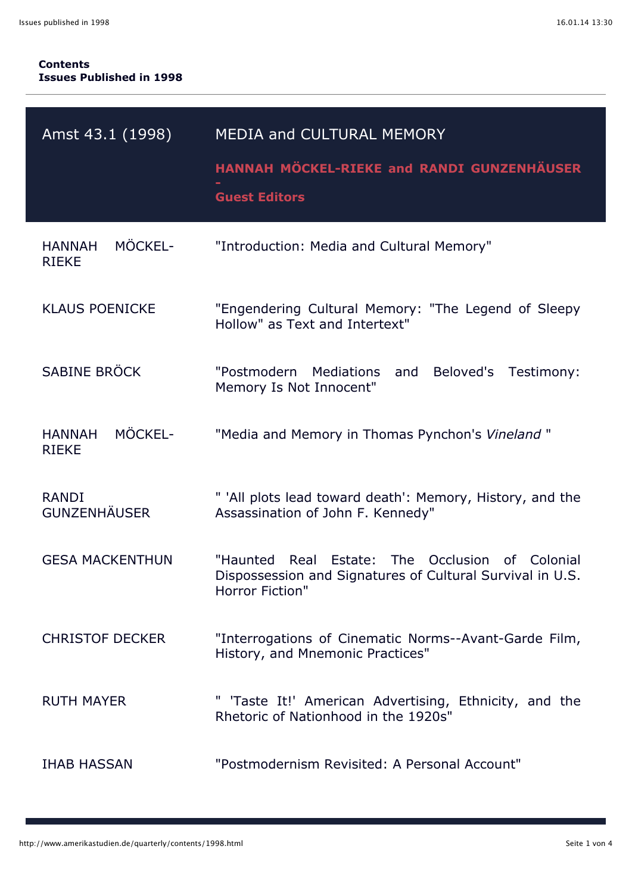## **Contents Issues Published in 1998**

| Amst 43.1 (1998)                         | MEDIA and CULTURAL MEMORY<br>HANNAH MÖCKEL-RIEKE and RANDI GUNZENHÄUSER<br><b>Guest Editors</b>                                       |
|------------------------------------------|---------------------------------------------------------------------------------------------------------------------------------------|
| MÖCKEL-<br><b>HANNAH</b><br><b>RIEKE</b> | "Introduction: Media and Cultural Memory"                                                                                             |
| <b>KLAUS POENICKE</b>                    | "Engendering Cultural Memory: "The Legend of Sleepy<br>Hollow" as Text and Intertext"                                                 |
| SABINE BRÖCK                             | "Postmodern<br>Mediations<br>Beloved's<br>and<br>Testimony:<br>Memory Is Not Innocent"                                                |
| MÖCKEL-<br><b>HANNAH</b><br><b>RIEKE</b> | "Media and Memory in Thomas Pynchon's Vineland"                                                                                       |
| <b>RANDI</b><br><b>GUNZENHÄUSER</b>      | " 'All plots lead toward death': Memory, History, and the<br>Assassination of John F. Kennedy"                                        |
| <b>GESA MACKENTHUN</b>                   | Estate: The Occlusion of Colonial<br>"Haunted<br>Real<br>Dispossession and Signatures of Cultural Survival in U.S.<br>Horror Fiction" |
| <b>CHRISTOF DECKER</b>                   | "Interrogations of Cinematic Norms--Avant-Garde Film,<br>History, and Mnemonic Practices"                                             |
| <b>RUTH MAYER</b>                        | " 'Taste It!' American Advertising, Ethnicity, and the<br>Rhetoric of Nationhood in the 1920s"                                        |
| <b>IHAB HASSAN</b>                       | "Postmodernism Revisited: A Personal Account"                                                                                         |

ī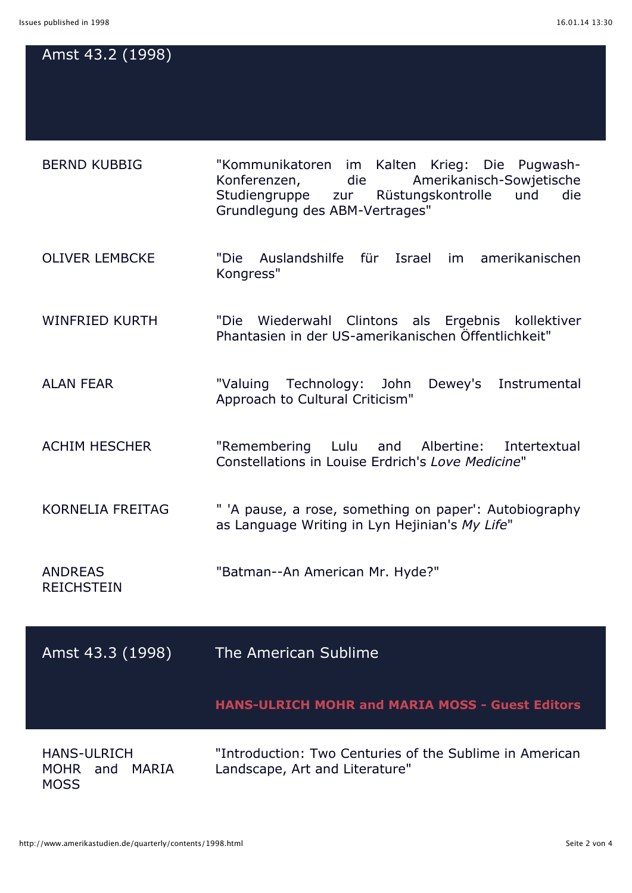## Amst 43.2 (1998)

| <b>BERND KUBBIG</b>   | "Kommunikatoren im Kalten Krieg: Die Pugwash-<br>Konferenzen,<br>Studiengruppe zur Rüstungskontrolle<br>Grundlegung des ABM-Vertrages" | die | Amerikanisch-Sowjetische<br>und<br>die |
|-----------------------|----------------------------------------------------------------------------------------------------------------------------------------|-----|----------------------------------------|
| <b>OLIVER LEMBCKE</b> | Auslandshilfe für Israel<br>"Die<br>Kongress"                                                                                          |     | im amerikanischen                      |

WINFRIED KURTH "Die Wiederwahl Clintons als Ergebnis kollektiver Phantasien in der US-amerikanischen Öffentlichkeit"

ALAN FEAR "Valuing Technology: John Dewey's Instrumental Approach to Cultural Criticism"

ACHIM HESCHER "Remembering Lulu and Albertine: Intertextual Constellations in Louise Erdrich's *Love Medicine*"

KORNELIA FREITAG " 'A pause, a rose, something on paper': Autobiography as Language Writing in Lyn Hejinian's *My Life*"

ANDREAS "Batman--An American Mr. Hyde?"

**REICHSTEIN** 

Amst 43.3 (1998) The American Sublime

**HANS-ULRICH MOHR and MARIA MOSS - Guest Editors**

HANS-ULRICH MOHR and MARIA **MOSS** 

"Introduction: Two Centuries of the Sublime in American Landscape, Art and Literature"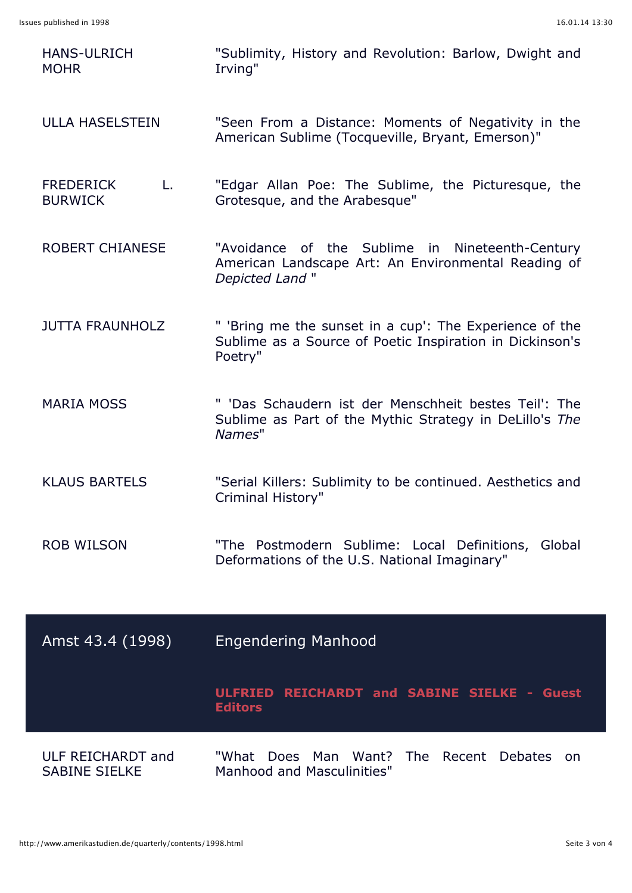| <b>HANS-ULRICH</b><br><b>MOHR</b>         | "Sublimity, History and Revolution: Barlow, Dwight and<br>Irving"                                                              |
|-------------------------------------------|--------------------------------------------------------------------------------------------------------------------------------|
| <b>ULLA HASELSTEIN</b>                    | "Seen From a Distance: Moments of Negativity in the<br>American Sublime (Tocqueville, Bryant, Emerson)"                        |
| <b>FREDERICK</b><br>L.<br><b>BURWICK</b>  | "Edgar Allan Poe: The Sublime, the Picturesque, the<br>Grotesque, and the Arabesque"                                           |
| <b>ROBERT CHIANESE</b>                    | "Avoidance of the Sublime in Nineteenth-Century<br>American Landscape Art: An Environmental Reading of<br>Depicted Land"       |
| <b>JUTTA FRAUNHOLZ</b>                    | " 'Bring me the sunset in a cup': The Experience of the<br>Sublime as a Source of Poetic Inspiration in Dickinson's<br>Poetry" |
| <b>MARIA MOSS</b>                         | " 'Das Schaudern ist der Menschheit bestes Teil': The<br>Sublime as Part of the Mythic Strategy in DeLillo's The<br>Names"     |
| <b>KLAUS BARTELS</b>                      | "Serial Killers: Sublimity to be continued. Aesthetics and<br>Criminal History"                                                |
| <b>ROB WILSON</b>                         | "The Postmodern Sublime: Local Definitions, Global<br>Deformations of the U.S. National Imaginary"                             |
| Amst 43.4 (1998)                          | <b>Engendering Manhood</b>                                                                                                     |
|                                           | ULFRIED REICHARDT and SABINE SIELKE - Guest<br><b>Editors</b>                                                                  |
| ULF REICHARDT and<br><b>SABINE SIELKE</b> | "What<br>Does Man Want? The Recent Debates<br>on<br><b>Manhood and Masculinities"</b>                                          |